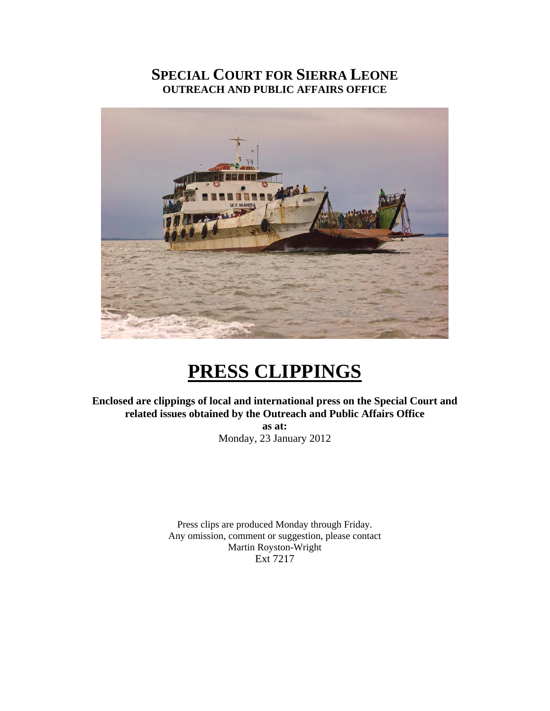# **SPECIAL COURT FOR SIERRA LEONE OUTREACH AND PUBLIC AFFAIRS OFFICE**



# **PRESS CLIPPINGS**

**Enclosed are clippings of local and international press on the Special Court and related issues obtained by the Outreach and Public Affairs Office as at:** 

Monday, 23 January 2012

Press clips are produced Monday through Friday. Any omission, comment or suggestion, please contact Martin Royston-Wright Ext 7217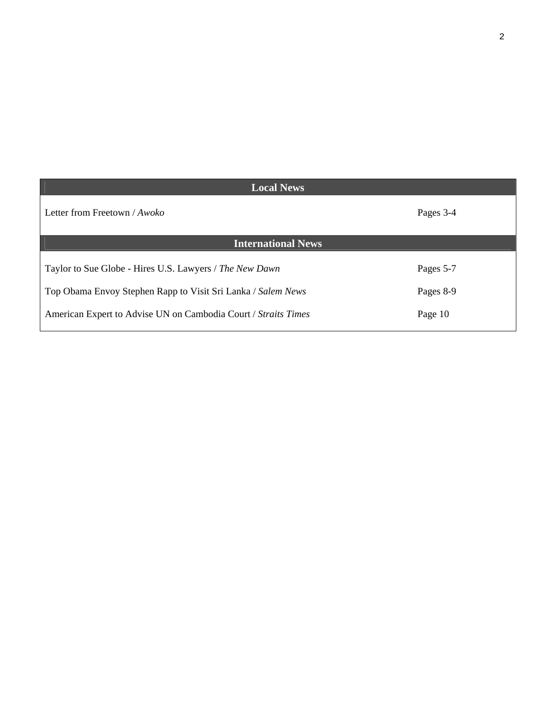| <b>Local News</b>                                              |           |
|----------------------------------------------------------------|-----------|
| Letter from Freetown / Awoko                                   | Pages 3-4 |
| <b>International News</b>                                      |           |
| Taylor to Sue Globe - Hires U.S. Lawyers / The New Dawn        | Pages 5-7 |
| Top Obama Envoy Stephen Rapp to Visit Sri Lanka / Salem News   | Pages 8-9 |
| American Expert to Advise UN on Cambodia Court / Straits Times | Page 10   |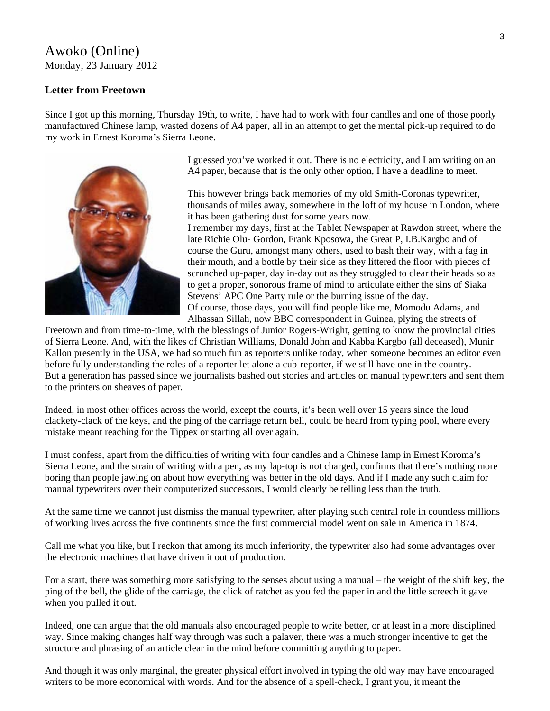## Awoko (Online) Monday, 23 January 2012

#### **Letter from Freetown**

Since I got up this morning, Thursday 19th, to write, I have had to work with four candles and one of those poorly manufactured Chinese lamp, wasted dozens of A4 paper, all in an attempt to get the mental pick-up required to do my work in Ernest Koroma's Sierra Leone.



I guessed you've worked it out. There is no electricity, and I am writing on an A4 paper, because that is the only other option, I have a deadline to meet.

This however brings back memories of my old Smith-Coronas typewriter, thousands of miles away, somewhere in the loft of my house in London, where it has been gathering dust for some years now.

I remember my days, first at the Tablet Newspaper at Rawdon street, where the late Richie Olu- Gordon, Frank Kposowa, the Great P, I.B.Kargbo and of course the Guru, amongst many others, used to bash their way, with a fag in their mouth, and a bottle by their side as they littered the floor with pieces of scrunched up-paper, day in-day out as they struggled to clear their heads so as to get a proper, sonorous frame of mind to articulate either the sins of Siaka Stevens' APC One Party rule or the burning issue of the day. Of course, those days, you will find people like me, Momodu Adams, and Alhassan Sillah, now BBC correspondent in Guinea, plying the streets of

Freetown and from time-to-time, with the blessings of Junior Rogers-Wright, getting to know the provincial cities of Sierra Leone. And, with the likes of Christian Williams, Donald John and Kabba Kargbo (all deceased), Munir Kallon presently in the USA, we had so much fun as reporters unlike today, when someone becomes an editor even before fully understanding the roles of a reporter let alone a cub-reporter, if we still have one in the country. But a generation has passed since we journalists bashed out stories and articles on manual typewriters and sent them to the printers on sheaves of paper.

Indeed, in most other offices across the world, except the courts, it's been well over 15 years since the loud clackety-clack of the keys, and the ping of the carriage return bell, could be heard from typing pool, where every mistake meant reaching for the Tippex or starting all over again.

I must confess, apart from the difficulties of writing with four candles and a Chinese lamp in Ernest Koroma's Sierra Leone, and the strain of writing with a pen, as my lap-top is not charged, confirms that there's nothing more boring than people jawing on about how everything was better in the old days. And if I made any such claim for manual typewriters over their computerized successors, I would clearly be telling less than the truth.

At the same time we cannot just dismiss the manual typewriter, after playing such central role in countless millions of working lives across the five continents since the first commercial model went on sale in America in 1874.

Call me what you like, but I reckon that among its much inferiority, the typewriter also had some advantages over the electronic machines that have driven it out of production.

For a start, there was something more satisfying to the senses about using a manual – the weight of the shift key, the ping of the bell, the glide of the carriage, the click of ratchet as you fed the paper in and the little screech it gave when you pulled it out.

Indeed, one can argue that the old manuals also encouraged people to write better, or at least in a more disciplined way. Since making changes half way through was such a palaver, there was a much stronger incentive to get the structure and phrasing of an article clear in the mind before committing anything to paper.

And though it was only marginal, the greater physical effort involved in typing the old way may have encouraged writers to be more economical with words. And for the absence of a spell-check, I grant you, it meant the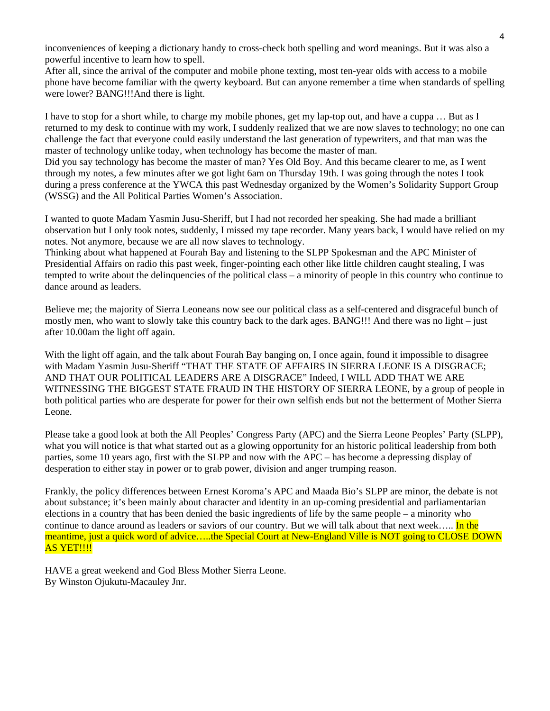inconveniences of keeping a dictionary handy to cross-check both spelling and word meanings. But it was also a powerful incentive to learn how to spell.

After all, since the arrival of the computer and mobile phone texting, most ten-year olds with access to a mobile phone have become familiar with the qwerty keyboard. But can anyone remember a time when standards of spelling were lower? BANG!!!And there is light.

I have to stop for a short while, to charge my mobile phones, get my lap-top out, and have a cuppa … But as I returned to my desk to continue with my work, I suddenly realized that we are now slaves to technology; no one can challenge the fact that everyone could easily understand the last generation of typewriters, and that man was the master of technology unlike today, when technology has become the master of man.

Did you say technology has become the master of man? Yes Old Boy. And this became clearer to me, as I went through my notes, a few minutes after we got light 6am on Thursday 19th. I was going through the notes I took during a press conference at the YWCA this past Wednesday organized by the Women's Solidarity Support Group (WSSG) and the All Political Parties Women's Association.

I wanted to quote Madam Yasmin Jusu-Sheriff, but I had not recorded her speaking. She had made a brilliant observation but I only took notes, suddenly, I missed my tape recorder. Many years back, I would have relied on my notes. Not anymore, because we are all now slaves to technology.

Thinking about what happened at Fourah Bay and listening to the SLPP Spokesman and the APC Minister of Presidential Affairs on radio this past week, finger-pointing each other like little children caught stealing, I was tempted to write about the delinquencies of the political class – a minority of people in this country who continue to dance around as leaders.

Believe me; the majority of Sierra Leoneans now see our political class as a self-centered and disgraceful bunch of mostly men, who want to slowly take this country back to the dark ages. BANG!!! And there was no light – just after 10.00am the light off again.

With the light off again, and the talk about Fourah Bay banging on, I once again, found it impossible to disagree with Madam Yasmin Jusu-Sheriff "THAT THE STATE OF AFFAIRS IN SIERRA LEONE IS A DISGRACE; AND THAT OUR POLITICAL LEADERS ARE A DISGRACE" Indeed, I WILL ADD THAT WE ARE WITNESSING THE BIGGEST STATE FRAUD IN THE HISTORY OF SIERRA LEONE, by a group of people in both political parties who are desperate for power for their own selfish ends but not the betterment of Mother Sierra Leone.

Please take a good look at both the All Peoples' Congress Party (APC) and the Sierra Leone Peoples' Party (SLPP), what you will notice is that what started out as a glowing opportunity for an historic political leadership from both parties, some 10 years ago, first with the SLPP and now with the APC – has become a depressing display of desperation to either stay in power or to grab power, division and anger trumping reason.

Frankly, the policy differences between Ernest Koroma's APC and Maada Bio's SLPP are minor, the debate is not about substance; it's been mainly about character and identity in an up-coming presidential and parliamentarian elections in a country that has been denied the basic ingredients of life by the same people – a minority who continue to dance around as leaders or saviors of our country. But we will talk about that next week..... In the meantime, just a quick word of advice.....the Special Court at New-England Ville is NOT going to CLOSE DOWN AS YET!!!!

HAVE a great weekend and God Bless Mother Sierra Leone. By Winston Ojukutu-Macauley Jnr.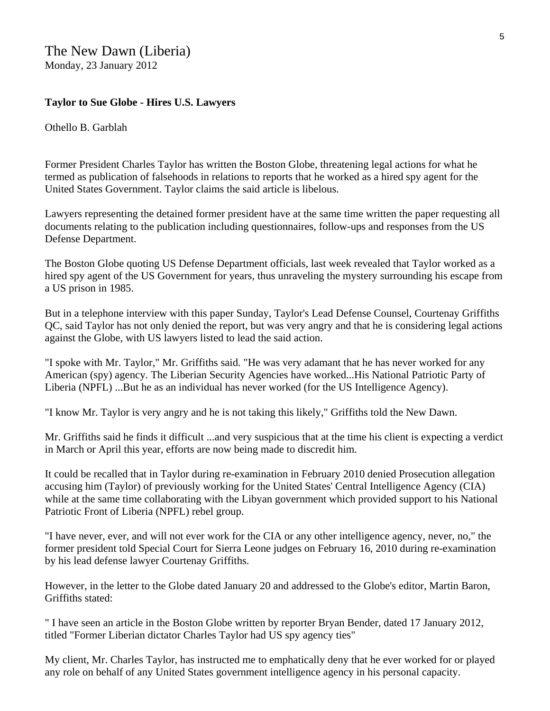## **Taylor to Sue Globe - Hires U.S. Lawyers**

Othello B. Garblah

Former President Charles Taylor has written the Boston Globe, threatening legal actions for what he termed as publication of falsehoods in relations to reports that he worked as a hired spy agent for the United States Government. Taylor claims the said article is libelous.

Lawyers representing the detained former president have at the same time written the paper requesting all documents relating to the publication including questionnaires, follow-ups and responses from the US Defense Department.

The Boston Globe quoting US Defense Department officials, last week revealed that Taylor worked as a hired spy agent of the US Government for years, thus unraveling the mystery surrounding his escape from a US prison in 1985.

But in a telephone interview with this paper Sunday, Taylor's Lead Defense Counsel, Courtenay Griffiths QC, said Taylor has not only denied the report, but was very angry and that he is considering legal actions against the Globe, with US lawyers listed to lead the said action.

"I spoke with Mr. Taylor," Mr. Griffiths said. "He was very adamant that he has never worked for any American (spy) agency. The Liberian Security Agencies have worked...His National Patriotic Party of Liberia (NPFL) ...But he as an individual has never worked (for the US Intelligence Agency).

"I know Mr. Taylor is very angry and he is not taking this likely," Griffiths told the New Dawn.

Mr. Griffiths said he finds it difficult ...and very suspicious that at the time his client is expecting a verdict in March or April this year, efforts are now being made to discredit him.

It could be recalled that in Taylor during re-examination in February 2010 denied Prosecution allegation accusing him (Taylor) of previously working for the United States' Central Intelligence Agency (CIA) while at the same time collaborating with the Libyan government which provided support to his National Patriotic Front of Liberia (NPFL) rebel group.

"I have never, ever, and will not ever work for the CIA or any other intelligence agency, never, no," the former president told Special Court for Sierra Leone judges on February 16, 2010 during re-examination by his lead defense lawyer Courtenay Griffiths.

However, in the letter to the Globe dated January 20 and addressed to the Globe's editor, Martin Baron, Griffiths stated:

" I have seen an article in the Boston Globe written by reporter Bryan Bender, dated 17 January 2012, titled "Former Liberian dictator Charles Taylor had US spy agency ties"

My client, Mr. Charles Taylor, has instructed me to emphatically deny that he ever worked for or played any role on behalf of any United States government intelligence agency in his personal capacity.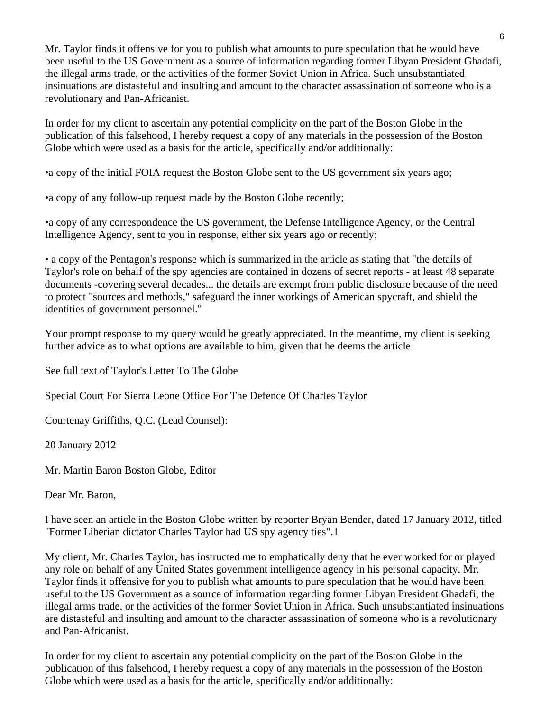Mr. Taylor finds it offensive for you to publish what amounts to pure speculation that he would have been useful to the US Government as a source of information regarding former Libyan President Ghadafi, the illegal arms trade, or the activities of the former Soviet Union in Africa. Such unsubstantiated insinuations are distasteful and insulting and amount to the character assassination of someone who is a revolutionary and Pan-Africanist.

In order for my client to ascertain any potential complicity on the part of the Boston Globe in the publication of this falsehood, I hereby request a copy of any materials in the possession of the Boston Globe which were used as a basis for the article, specifically and/or additionally:

•a copy of the initial FOIA request the Boston Globe sent to the US government six years ago;

•a copy of any follow-up request made by the Boston Globe recently;

•a copy of any correspondence the US government, the Defense Intelligence Agency, or the Central Intelligence Agency, sent to you in response, either six years ago or recently;

• a copy of the Pentagon's response which is summarized in the article as stating that "the details of Taylor's role on behalf of the spy agencies are contained in dozens of secret reports - at least 48 separate documents -covering several decades... the details are exempt from public disclosure because of the need to protect "sources and methods," safeguard the inner workings of American spycraft, and shield the identities of government personnel."

Your prompt response to my query would be greatly appreciated. In the meantime, my client is seeking further advice as to what options are available to him, given that he deems the article

See full text of Taylor's Letter To The Globe

Special Court For Sierra Leone Office For The Defence Of Charles Taylor

Courtenay Griffiths, Q.C. (Lead Counsel):

20 January 2012

Mr. Martin Baron Boston Globe, Editor

Dear Mr. Baron,

I have seen an article in the Boston Globe written by reporter Bryan Bender, dated 17 January 2012, titled "Former Liberian dictator Charles Taylor had US spy agency ties".1

My client, Mr. Charles Taylor, has instructed me to emphatically deny that he ever worked for or played any role on behalf of any United States government intelligence agency in his personal capacity. Mr. Taylor finds it offensive for you to publish what amounts to pure speculation that he would have been useful to the US Government as a source of information regarding former Libyan President Ghadafi, the illegal arms trade, or the activities of the former Soviet Union in Africa. Such unsubstantiated insinuations are distasteful and insulting and amount to the character assassination of someone who is a revolutionary and Pan-Africanist.

In order for my client to ascertain any potential complicity on the part of the Boston Globe in the publication of this falsehood, I hereby request a copy of any materials in the possession of the Boston Globe which were used as a basis for the article, specifically and/or additionally: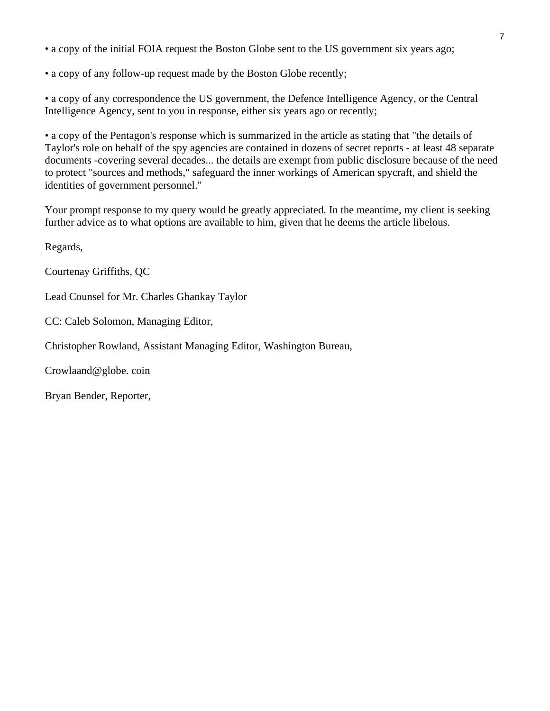• a copy of the initial FOIA request the Boston Globe sent to the US government six years ago;

• a copy of any follow-up request made by the Boston Globe recently;

• a copy of any correspondence the US government, the Defence Intelligence Agency, or the Central Intelligence Agency, sent to you in response, either six years ago or recently;

• a copy of the Pentagon's response which is summarized in the article as stating that "the details of Taylor's role on behalf of the spy agencies are contained in dozens of secret reports - at least 48 separate documents -covering several decades... the details are exempt from public disclosure because of the need to protect "sources and methods," safeguard the inner workings of American spycraft, and shield the identities of government personnel."

Your prompt response to my query would be greatly appreciated. In the meantime, my client is seeking further advice as to what options are available to him, given that he deems the article libelous.

Regards,

Courtenay Griffiths, QC

Lead Counsel for Mr. Charles Ghankay Taylor

CC: Caleb Solomon, Managing Editor,

Christopher Rowland, Assistant Managing Editor, Washington Bureau,

Crowlaand@globe. coin

Bryan Bender, Reporter,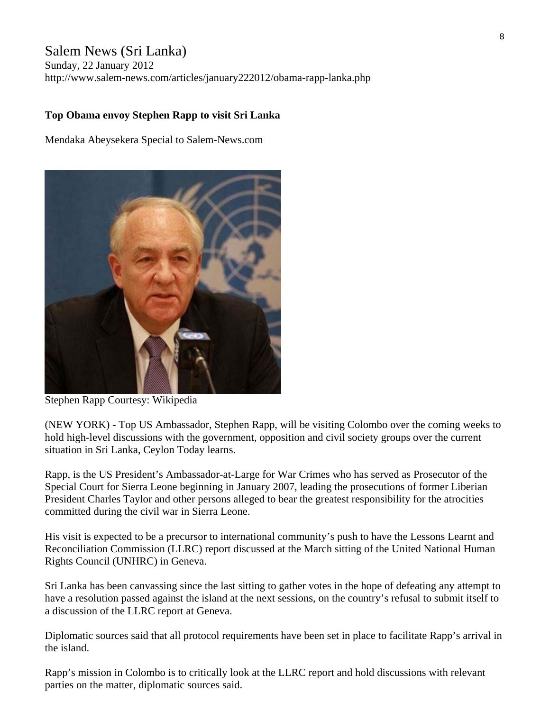# Salem News (Sri Lanka)

Sunday, 22 January 2012 http://www.salem-news.com/articles/january222012/obama-rapp-lanka.php

### **Top Obama envoy Stephen Rapp to visit Sri Lanka**

Mendaka Abeysekera Special to Salem-News.com



Stephen Rapp Courtesy: Wikipedia

(NEW YORK) - Top US Ambassador, Stephen Rapp, will be visiting Colombo over the coming weeks to hold high-level discussions with the government, opposition and civil society groups over the current situation in Sri Lanka, Ceylon Today learns.

Rapp, is the US President's Ambassador-at-Large for War Crimes who has served as Prosecutor of the Special Court for Sierra Leone beginning in January 2007, leading the prosecutions of former Liberian President Charles Taylor and other persons alleged to bear the greatest responsibility for the atrocities committed during the civil war in Sierra Leone.

His visit is expected to be a precursor to international community's push to have the Lessons Learnt and Reconciliation Commission (LLRC) report discussed at the March sitting of the United National Human Rights Council (UNHRC) in Geneva.

Sri Lanka has been canvassing since the last sitting to gather votes in the hope of defeating any attempt to have a resolution passed against the island at the next sessions, on the country's refusal to submit itself to a discussion of the LLRC report at Geneva.

Diplomatic sources said that all protocol requirements have been set in place to facilitate Rapp's arrival in the island.

Rapp's mission in Colombo is to critically look at the LLRC report and hold discussions with relevant parties on the matter, diplomatic sources said.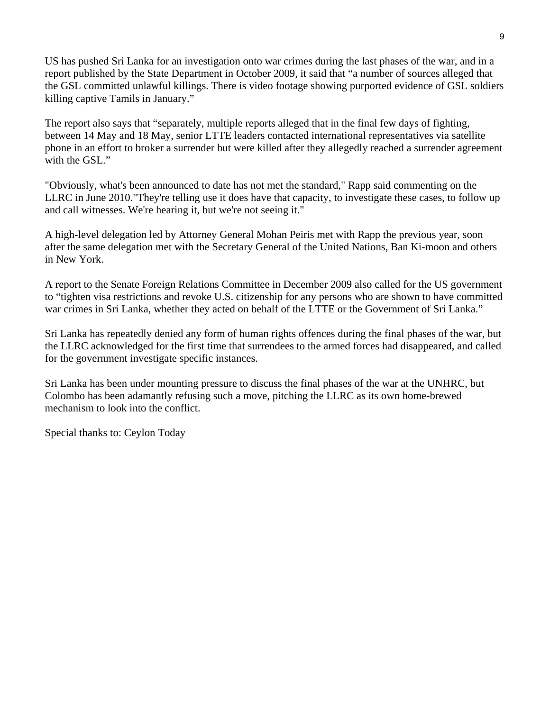US has pushed Sri Lanka for an investigation onto war crimes during the last phases of the war, and in a report published by the State Department in October 2009, it said that "a number of sources alleged that the GSL committed unlawful killings. There is video footage showing purported evidence of GSL soldiers killing captive Tamils in January."

The report also says that "separately, multiple reports alleged that in the final few days of fighting, between 14 May and 18 May, senior LTTE leaders contacted international representatives via satellite phone in an effort to broker a surrender but were killed after they allegedly reached a surrender agreement with the GSL."

"Obviously, what's been announced to date has not met the standard," Rapp said commenting on the LLRC in June 2010."They're telling use it does have that capacity, to investigate these cases, to follow up and call witnesses. We're hearing it, but we're not seeing it."

A high-level delegation led by Attorney General Mohan Peiris met with Rapp the previous year, soon after the same delegation met with the Secretary General of the United Nations, Ban Ki-moon and others in New York.

A report to the Senate Foreign Relations Committee in December 2009 also called for the US government to "tighten visa restrictions and revoke U.S. citizenship for any persons who are shown to have committed war crimes in Sri Lanka, whether they acted on behalf of the LTTE or the Government of Sri Lanka."

Sri Lanka has repeatedly denied any form of human rights offences during the final phases of the war, but the LLRC acknowledged for the first time that surrendees to the armed forces had disappeared, and called for the government investigate specific instances.

Sri Lanka has been under mounting pressure to discuss the final phases of the war at the UNHRC, but Colombo has been adamantly refusing such a move, pitching the LLRC as its own home-brewed mechanism to look into the conflict.

Special thanks to: Ceylon Today